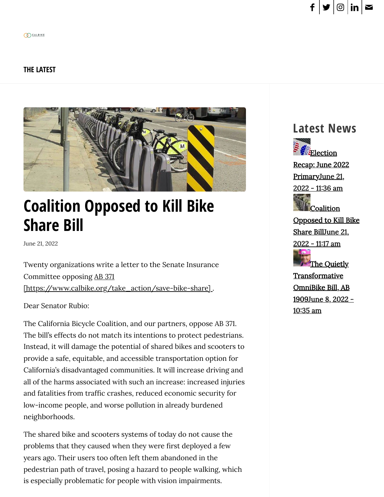#### **[THE LATEST](https://www.calbike.org/the_latest/)**



# **[Coalition Opposed to Kill Bike](https://www.calbike.org/coalition-opposed-to-kill-bike-share-bill/) Share Bill**

June 21, 2022

Twenty organizations write a letter to the Senate Insurance Committee opposing AB 371 [\[https://www.calbike.org/take\\_action/save-bike-share\]](https://www.calbike.org/take_action/save-bike-share) .

Dear Senator Rubio:

The California Bicycle Coalition, and our partners, oppose AB 371. The bill's effects do not match its intentions to protect pedestrians. Instead, it will damage the potential of shared bikes and scooters to provide a safe, equitable, and accessible transportation option for California's disadvantaged communities. It will increase driving and all of the harms associated with such an increase: increased injuries and fatalities from traffic crashes, reduced economic security for low-income people, and worse pollution in already burdened neighborhoods.

The shared bike and scooters systems of today do not cause the problems that they caused when they were first deployed a few years ago. Their users too often left them abandoned in the pedestrian path of travel, posing a hazard to people walking, which is especially problematic for people with vision impairments.



**PEE**lection Recap: June 2022 [PrimaryJune](https://www.calbike.org/election-recap-june-2022-primary/) 21, 2022 - 11:36 am **[Coalition](https://www.calbike.org/coalition-opposed-to-kill-bike-share-bill/)** Opposed to Kill Bike

Share BillJune 21, 2022 - 11:17 am



**[Transformative](https://www.calbike.org/the-quietly-revolutionary-omnibike-bill-ab-1909/)** OmniBike Bill, AB 1909June 8, 2022 - 10:35 am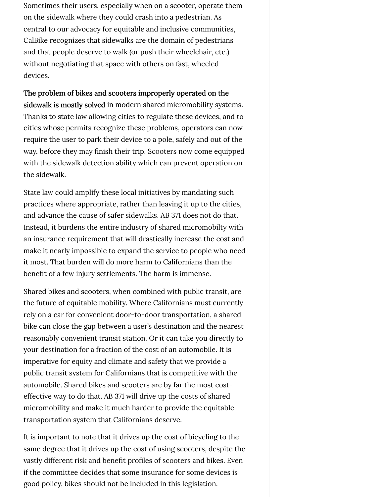Sometimes their users, especially when on a scooter, operate them on the sidewalk where they could crash into a pedestrian. As central to our advocacy for equitable and inclusive communities, CalBike recognizes that sidewalks are the domain of pedestrians and that people deserve to walk (or push their wheelchair, etc.) without negotiating that space with others on fast, wheeled devices.

The problem of bikes and scooters improperly operated on the sidewalk is mostly solved in modern shared micromobility systems. Thanks to state law allowing cities to regulate these devices, and to cities whose permits recognize these problems, operators can now require the user to park their device to a pole, safely and out of the way, before they may finish their trip. Scooters now come equipped with the sidewalk detection ability which can prevent operation on the sidewalk.

State law could amplify these local initiatives by mandating such practices where appropriate, rather than leaving it up to the cities, and advance the cause of safer sidewalks. AB 371 does not do that. Instead, it burdens the entire industry of shared micromobilty with an insurance requirement that will drastically increase the cost and make it nearly impossible to expand the service to people who need it most. That burden will do more harm to Californians than the benefit of a few injury settlements. The harm is immense.

Shared bikes and scooters, when combined with public transit, are the future of equitable mobility. Where Californians must currently rely on a car for convenient door-to-door transportation, a shared bike can close the gap between a user's destination and the nearest reasonably convenient transit station. Or it can take you directly to your destination for a fraction of the cost of an automobile. It is imperative for equity and climate and safety that we provide a public transit system for Californians that is competitive with the automobile. Shared bikes and scooters are by far the most costeffective way to do that. AB 371 will drive up the costs of shared micromobility and make it much harder to provide the equitable transportation system that Californians deserve.

It is important to note that it drives up the cost of bicycling to the same degree that it drives up the cost of using scooters, despite the vastly different risk and benefit profiles of scooters and bikes. Even if the committee decides that some insurance for some devices is good policy, bikes should not be included in this legislation.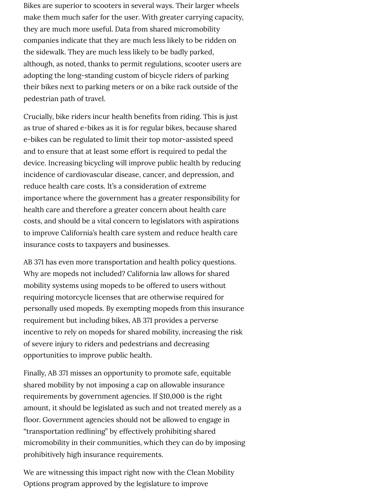Bikes are superior to scooters in several ways. Their larger wheels make them much safer for the user. With greater carrying capacity, they are much more useful. Data from shared micromobility companies indicate that they are much less likely to be ridden on the sidewalk. They are much less likely to be badly parked, although, as noted, thanks to permit regulations, scooter users are adopting the long-standing custom of bicycle riders of parking their bikes next to parking meters or on a bike rack outside of the pedestrian path of travel.

Crucially, bike riders incur health benefits from riding. This is just as true of shared e-bikes as it is for regular bikes, because shared e-bikes can be regulated to limit their top motor-assisted speed and to ensure that at least some effort is required to pedal the device. Increasing bicycling will improve public health by reducing incidence of cardiovascular disease, cancer, and depression, and reduce health care costs. It's a consideration of extreme importance where the government has a greater responsibility for health care and therefore a greater concern about health care costs, and should be a vital concern to legislators with aspirations to improve California's health care system and reduce health care insurance costs to taxpayers and businesses.

AB 371 has even more transportation and health policy questions. Why are mopeds not included? California law allows for shared mobility systems using mopeds to be offered to users without requiring motorcycle licenses that are otherwise required for personally used mopeds. By exempting mopeds from this insurance requirement but including bikes, AB 371 provides a perverse incentive to rely on mopeds for shared mobility, increasing the risk of severe injury to riders and pedestrians and decreasing opportunities to improve public health.

Finally, AB 371 misses an opportunity to promote safe, equitable shared mobility by not imposing a cap on allowable insurance requirements by government agencies. If \$10,000 is the right amount, it should be legislated as such and not treated merely as a floor. Government agencies should not be allowed to engage in "transportation redlining" by effectively prohibiting shared micromobility in their communities, which they can do by imposing prohibitively high insurance requirements.

We are witnessing this impact right now with the Clean Mobility Options program approved by the legislature to improve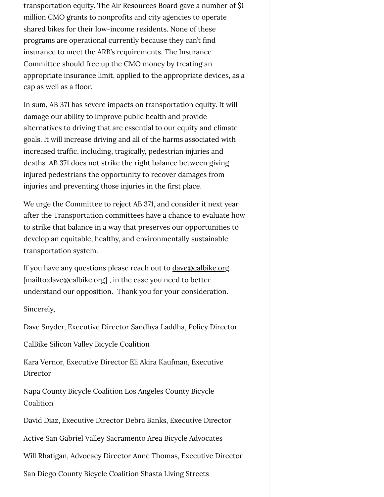transportation equity. The Air Resources Board gave a number of \$1 million CMO grants to nonprofits and city agencies to operate shared bikes for their low-income residents. None of these programs are operational currently because they can't find insurance to meet the ARB's requirements. The Insurance Committee should free up the CMO money by treating an appropriate insurance limit, applied to the appropriate devices, as a cap as well as a floor.

In sum, AB 371 has severe impacts on transportation equity. It will damage our ability to improve public health and provide alternatives to driving that are essential to our equity and climate goals. It will increase driving and all of the harms associated with increased traffic, including, tragically, pedestrian injuries and deaths. AB 371 does not strike the right balance between giving injured pedestrians the opportunity to recover damages from injuries and preventing those injuries in the first place.

We urge the Committee to reject AB 371, and consider it next year after the Transportation committees have a chance to evaluate how to strike that balance in a way that preserves our opportunities to develop an equitable, healthy, and environmentally sustainable transportation system.

If you have any questions please reach out to **dave@calbike.org** [\[mailto:dave@calbike.org\]](mailto:dave@calbike.org), in the case you need to better understand our opposition. Thank you for your consideration.

Sincerely,

Dave Snyder, Executive Director Sandhya Laddha, Policy Director

CalBike Silicon Valley Bicycle Coalition

Kara Vernor, Executive Director Eli Akira Kaufman, Executive Director

Napa County Bicycle Coalition Los Angeles County Bicycle Coalition

David Diaz, Executive Director Debra Banks, Executive Director

Active San Gabriel Valley Sacramento Area Bicycle Advocates

Will Rhatigan, Advocacy Director Anne Thomas, Executive Director

San Diego County Bicycle Coalition Shasta Living Streets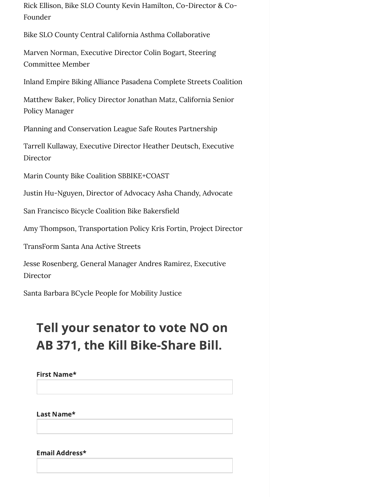Rick Ellison, Bike SLO County Kevin Hamilton, Co-Director & Co-Founder

Bike SLO County Central California Asthma Collaborative

Marven Norman, Executive Director Colin Bogart, Steering Committee Member

Inland Empire Biking Alliance Pasadena Complete Streets Coalition

Matthew Baker, Policy Director Jonathan Matz, California Senior Policy Manager

Planning and Conservation League Safe Routes Partnership

Tarrell Kullaway, Executive Director Heather Deutsch, Executive Director

Marin County Bike Coalition SBBIKE+COAST

Justin Hu-Nguyen, Director of Advocacy Asha Chandy, Advocate

San Francisco Bicycle Coalition Bike Bakersfield

Amy Thompson, Transportation Policy Kris Fortin, Project Director

TransForm Santa Ana Active Streets

Jesse Rosenberg, General Manager Andres Ramirez, Executive Director

Santa Barbara BCycle People for Mobility Justice

## Tell your senator to vote NO on AB 371, the Kill Bike-Share Bill.

First Name\*

Last Name\*

Email Address\*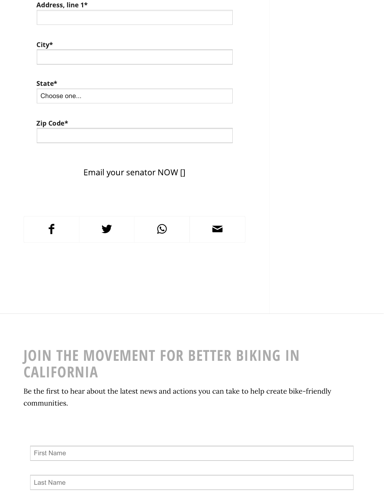| Choose one<br>Email your senator NOW []<br>$\mathbf f$<br>$\bigcirc$ | Address, line 1* |  |  |
|----------------------------------------------------------------------|------------------|--|--|
| $\mathsf{City}^{\star}$                                              |                  |  |  |
|                                                                      |                  |  |  |
|                                                                      |                  |  |  |
| Zip Code*                                                            | State*           |  |  |
|                                                                      |                  |  |  |
|                                                                      |                  |  |  |
|                                                                      |                  |  |  |
|                                                                      |                  |  |  |
|                                                                      |                  |  |  |
|                                                                      |                  |  |  |
|                                                                      |                  |  |  |
|                                                                      |                  |  |  |
|                                                                      |                  |  |  |

# **JOIN THE MOVEMENT FOR BETTER BIKING IN CALIFORNIA**

Be the first to hear about the latest news and actions you can take to help create bike-friendly communities.

First Name

Last Name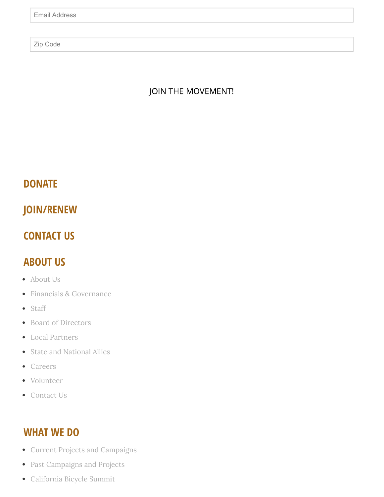Zip Code

#### JOIN THE MOVEMENT!

### **[DONATE](https://www.calbike.org/join)**

**[JOIN/RENEW](https://www.calbike.org/join)**

### **[CONTACT US](https://www.calbike.org/about_us/contact_us/)**

## **ABOUT US**

- [About](https://www.calbike.org/about_us/) Us
- Financials & [Governance](https://www.calbike.org/about_us/financials_governance/)
- [Staff](https://www.calbike.org/about_us/who_we_are/staff/)
- Board of [Directors](https://www.calbike.org/about_us/who_we_are/board_of_directors/)
- Local [Partners](https://www.calbike.org/about_us/who_we_are/local_partners/)
- State and [National](https://www.calbike.org/about_us/who_we_are/state_and_national_allies/) Allies  $\bullet$
- [Careers](https://www.calbike.org/about_us/careers/)
- [Volunteer](https://www.calbike.org/about_us/volunteer/)
- [Contact](https://www.calbike.org/about_us/contact_us/) Us

### **WHAT WE DO**

- Current Projects and [Campaigns](https://www.calbike.org/our_initiatives/)
- Past [Campaigns](https://www.calbike.org/our_initiatives/past-campaigns-and-projects/) and Projects
- [California](https://www.calbike.org/events/california_bicycle_summit/) Bicycle Summit